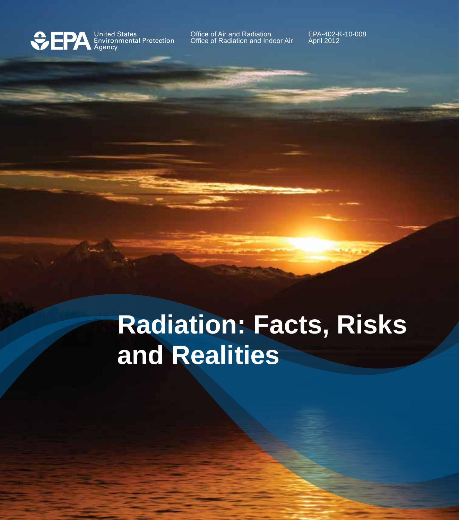

Office of Air and Radiation Office of Radiation and Indoor Air EPA-402-K-10-008 April 2012

# **Radiation: Facts, Risks and Realities**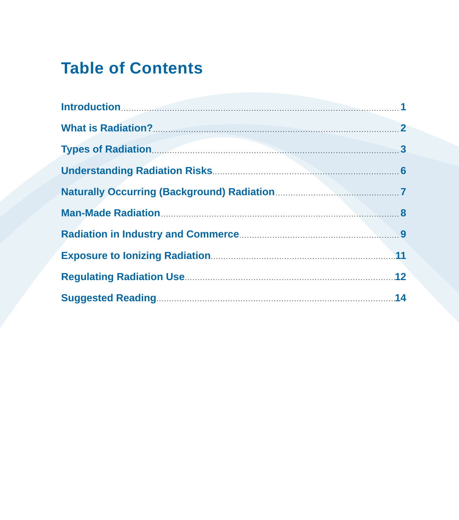# **Table of Contents**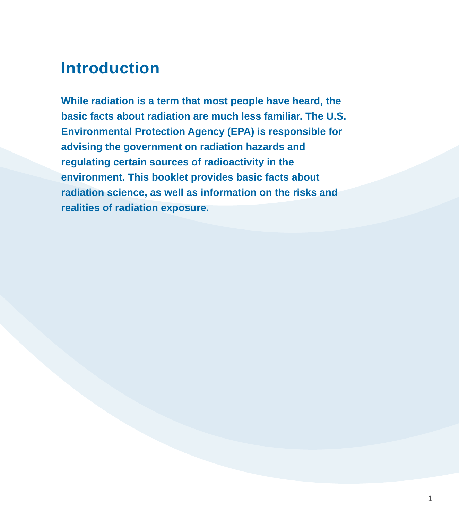# **Introduction**

**While radiation is a term that most people have heard, the basic facts about radiation are much less familiar. The U.S. Environmental Protection Agency (EPA) is responsible for advising the government on radiation hazards and regulating certain sources of radioactivity in the environment. This booklet provides basic facts about radiation science, as well as information on the risks and realities of radiation exposure.**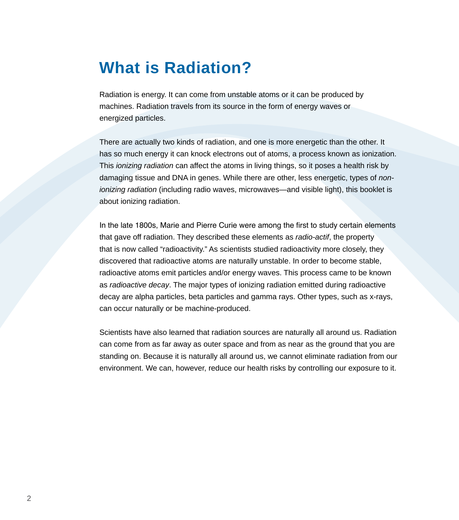# **What is Radiation?**

Radiation is energy. It can come from unstable atoms or it can be produced by machines. Radiation travels from its source in the form of energy waves or energized particles.

There are actually two kinds of radiation, and one is more energetic than the other. It has so much energy it can knock electrons out of atoms, a process known as ionization. This *ionizing radiation* can affect the atoms in living things, so it poses a health risk by damaging tissue and DNA in genes. While there are other, less energetic, types of *nonionizing radiation* (including radio waves, microwaves—and visible light), this booklet is about ionizing radiation.

In the late 1800s, Marie and Pierre Curie were among the first to study certain elements that gave off radiation. They described these elements as *radio-actif*, the property that is now called "radioactivity." As scientists studied radioactivity more closely, they discovered that radioactive atoms are naturally unstable. In order to become stable, radioactive atoms emit particles and/or energy waves. This process came to be known as *radioactive decay*. The major types of ionizing radiation emitted during radioactive decay are alpha particles, beta particles and gamma rays. Other types, such as x-rays, can occur naturally or be machine-produced.

Scientists have also learned that radiation sources are naturally all around us. Radiation can come from as far away as outer space and from as near as the ground that you are standing on. Because it is naturally all around us, we cannot eliminate radiation from our environment. We can, however, reduce our health risks by controlling our exposure to it.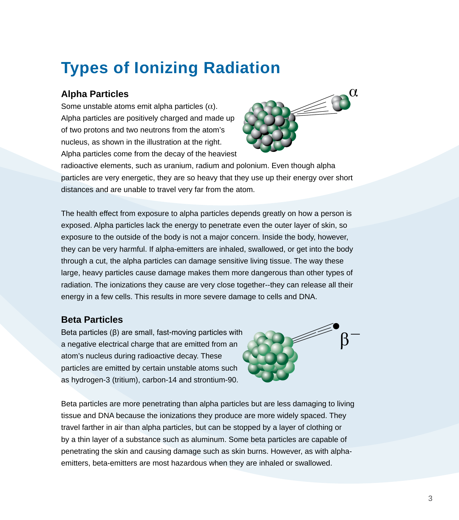# **Types of Ionizing Radiation**

# **Alpha Particles**

Some unstable atoms emit alpha particles  $(\alpha)$ . Alpha particles are positively charged and made up of two protons and two neutrons from the atom's nucleus, as shown in the illustration at the right. Alpha particles come from the decay of the heaviest



radioactive elements, such as uranium, radium and polonium. Even though alpha particles are very energetic, they are so heavy that they use up their energy over short distances and are unable to travel very far from the atom.

The health effect from exposure to alpha particles depends greatly on how a person is exposed. Alpha particles lack the energy to penetrate even the outer layer of skin, so exposure to the outside of the body is not a major concern. Inside the body, however, they can be very harmful. If alpha-emitters are inhaled, swallowed, or get into the body through a cut, the alpha particles can damage sensitive living tissue. The way these large, heavy particles cause damage makes them more dangerous than other types of radiation. The ionizations they cause are very close together--they can release all their energy in a few cells. This results in more severe damage to cells and DNA.

# **Beta Particles**

Beta particles (β) are small, fast-moving particles with a negative electrical charge that are emitted from an atom's nucleus during radioactive decay. These particles are emitted by certain unstable atoms such as hydrogen-3 (tritium), carbon-14 and strontium-90.



Beta particles are more penetrating than alpha particles but are less damaging to living tissue and DNA because the ionizations they produce are more widely spaced. They travel farther in air than alpha particles, but can be stopped by a layer of clothing or by a thin layer of a substance such as aluminum. Some beta particles are capable of penetrating the skin and causing damage such as skin burns. However, as with alphaemitters, beta-emitters are most hazardous when they are inhaled or swallowed.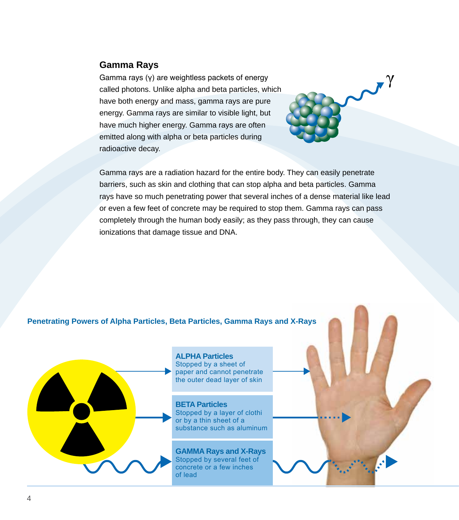#### **Gamma Rays**

Gamma rays (γ) are weightless packets of energy called photons. Unlike alpha and beta particles, which have both energy and mass, gamma rays are pure energy. Gamma rays are similar to visible light, but have much higher energy. Gamma rays are often emitted along with alpha or beta particles during radioactive decay.



Gamma rays are a radiation hazard for the entire body. They can easily penetrate barriers, such as skin and clothing that can stop alpha and beta particles. Gamma rays have so much penetrating power that several inches of a dense material like lead or even a few feet of concrete may be required to stop them. Gamma rays can pass completely through the human body easily; as they pass through, they can cause ionizations that damage tissue and DNA.

#### **ys and X-Rays Penetrating Powers of Alpha Particles, Beta Particles, Gamma Ra**

**ALPHA Particles**  Stopped by a sheet of paper and cannot penetrate the outer dead layer of skin

Stopped by a layer of clothi **BETA Particles** or by a thin sheet of a substance such as aluminum

**GAMMA Rays and X-Rays** Stopped by several feet of concrete or a few inches of lead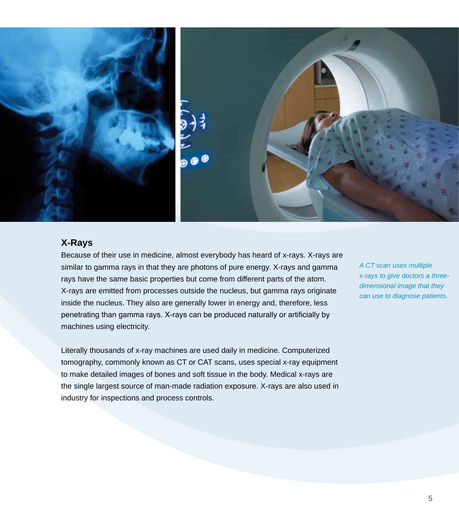

### **X-Rays**

Because of their use in medicine, almost everybody has heard of x-rays. X-rays are similar to gamma rays in that they are photons of pure energy. X-rays and gamma rays have the same basic properties but come from different parts of the atom. X-rays are emitted from processes outside the nucleus, but gamma rays originate inside the nucleus. They also are generally lower in energy and, therefore, less penetrating than gamma rays. X-rays can be produced naturally or artificially by machines using electricity.

Literally thousands of x-ray machines are used daily in medicine. Computerized tomography, commonly known as CT or CAT scans, uses special x-ray equipment to make detailed images of bones and soft tissue in the body. Medical x-rays are the single largest source of man-made radiation exposure. X-rays are also used in industry for inspections and process controls.

*A CT scan uses multiple x-rays to give doctors a threedimensional image that they can use to diagnose patients.*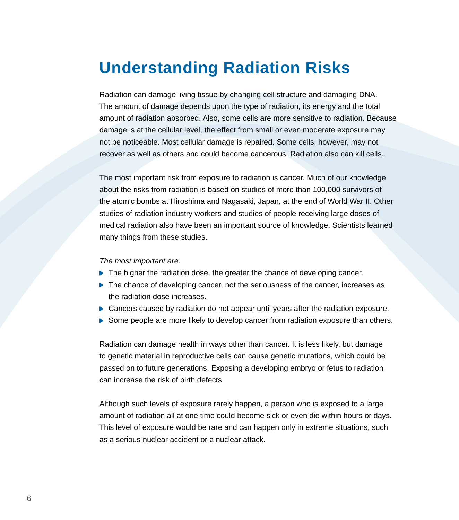# **Understanding Radiation Risks**

Radiation can damage living tissue by changing cell structure and damaging DNA. The amount of damage depends upon the type of radiation, its energy and the total amount of radiation absorbed. Also, some cells are more sensitive to radiation. Because damage is at the cellular level, the effect from small or even moderate exposure may not be noticeable. Most cellular damage is repaired. Some cells, however, may not recover as well as others and could become cancerous. Radiation also can kill cells.

The most important risk from exposure to radiation is cancer. Much of our knowledge about the risks from radiation is based on studies of more than 100,000 survivors of the atomic bombs at Hiroshima and Nagasaki, Japan, at the end of World War II. Other studies of radiation industry workers and studies of people receiving large doses of medical radiation also have been an important source of knowledge. Scientists learned many things from these studies.

#### *The most important are:*

- The higher the radiation dose, the greater the chance of developing cancer.
- $\blacktriangleright$  The chance of developing cancer, not the seriousness of the cancer, increases as the radiation dose increases.
- Cancers caused by radiation do not appear until years after the radiation exposure.
- $\triangleright$  Some people are more likely to develop cancer from radiation exposure than others.

Radiation can damage health in ways other than cancer. It is less likely, but damage to genetic material in reproductive cells can cause genetic mutations, which could be passed on to future generations. Exposing a developing embryo or fetus to radiation can increase the risk of birth defects.

Although such levels of exposure rarely happen, a person who is exposed to a large amount of radiation all at one time could become sick or even die within hours or days. This level of exposure would be rare and can happen only in extreme situations, such as a serious nuclear accident or a nuclear attack.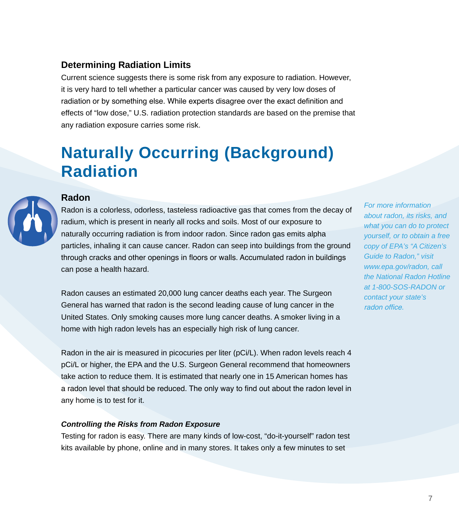### **Determining Radiation Limits**

Current science suggests there is some risk from any exposure to radiation. However, it is very hard to tell whether a particular cancer was caused by very low doses of radiation or by something else. While experts disagree over the exact definition and effects of "low dose," U.S. radiation protection standards are based on the premise that any radiation exposure carries some risk.

### **Naturally Occurring (Background) Radiation TOTAL AVERAGE ANNUAL DOES EURALLY OCCULTING**

#### **Radon**



Radon is a colorless, odorless, tasteless radioactive gas that comes from the decay of radium, which is present in nearly all rocks and soils. Most of our exposure to naturally occurring radiation is from indoor radon. Since radon gas emits alpha particles, inhaling it can cause cancer. Radon can seep into buildings from the ground through cracks and other openings in floors or walls. Accumulated radon in buildings can pose a health hazard.

Radon causes an estimated 20,000 lung cancer deaths each year. The Surgeon General has warned that radon is the second leading cause of lung cancer in the United States. Only smoking causes more lung cancer deaths. A smoker living in a **Surgical Fluoroscopy**  home with high radon levels has an especially high risk of lung cancer.

Radon in the air is measured in picocuries per liter (pCi/L). When radon levels reach 4 pCi/L or higher, the EPA and the U.S. Surgeon General recommend that homeowners take action to reduce them. It is estimated that nearly one in 15 American homes has **that and the team** a radon level that should be reduced. The only way to find out about the radon level in any home is to test for it.

#### *Controlling the Risks from Radon Exposure*

Testing for radon is easy. There are many kinds of low-cost, "do-it-yourself" radon test kits available by phone, online and in many stores. It takes only a few minutes to set

*For more information about radon, its risks, and what you can do to protect yourself, or to obtain a free copy of EPA's "A Citizen's Guide to Radon," visit www.epa.gov/radon, call the National Radon Hotline at 1-800-SOS-RADON or contact your state's*  radon office.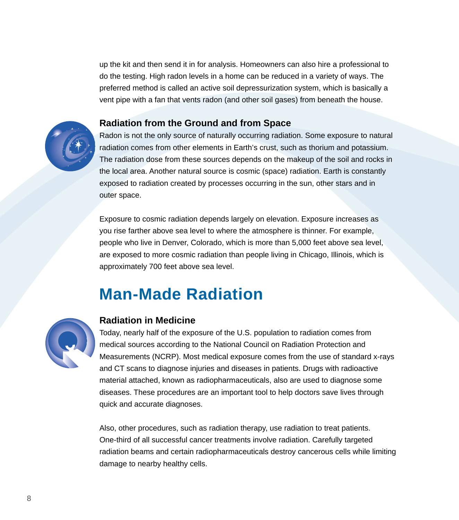up the kit and then send it in for analysis. Homeowners can also hire a professional to do the testing. High radon levels in a home can be reduced in a variety of ways. The preferred method is called an active soil depressurization system, which is basically a vent pipe with a fan that vents radon (and other soil gases) from beneath the house.



# **Nuclear Medicine Radiation from the Ground and from Space**

Radon is not the only source of naturally occurring radiation. Some exposure to natural exposed to radiation created by processes occurring in the sun, other stars and in radiation comes from other elements in Earth's crust, such as thorium and potassium. The radiation dose from these sources depends on the makeup of the soil and rocks in the local area. Another natural source is cosmic (space) radiation. Earth is constantly outer space.

**Xrays and Fluoroscopes**  people who live in Denver, Colorado, which is more than 5,000 feet above sea level, are exposed to more cosmic radiation than people living in Chicago, Illinois, which is **TOTAL AVERAGE AND APPROXIMATELY 700 feet above sea level. FROM MEDICAL PROCEDURES** Exposure to cosmic radiation depends largely on elevation. Exposure increases as you rise farther above sea level to where the atmosphere is thinner. For example,

# **Man-Made Radiation**



# **Computed Tomography Radiation in Medicine**

Today, nearly half of the exposure of the U.S. population to radiation comes from medical sources according to the National Council on Radiation Protection and **Nuclear Medicine**  material attached, known as radiopharmaceuticals, also are used to diagnose some diseases. These procedures are an important tool to help doctors save lives through Measurements (NCRP). Most medical exposure comes from the use of standard x-rays and CT scans to diagnose injuries and diseases in patients. Drugs with radioactive quick and accurate diagnoses.

One-third of all successful cancer treatments involve radiation. Carefully targeted radiation beams and certain radiopharmaceuticals destroy cancerous cells while limiting Also, other procedures, such as radiation therapy, use radiation to treat patients. damage to nearby healthy cells.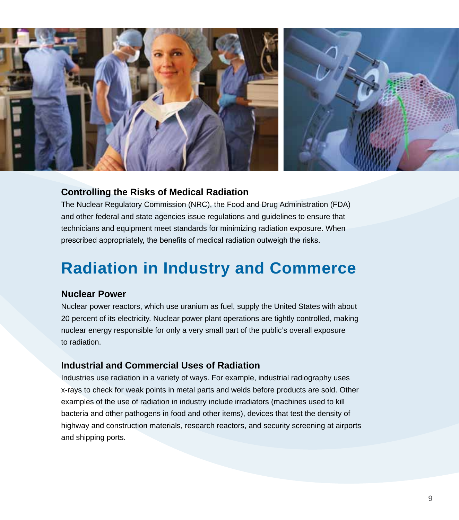

#### **Controlling the Risks of Medical Radiation**

The Nuclear Regulatory Commission (NRC), the Food and Drug Administration (FDA) and other federal and state agencies issue regulations and guidelines to ensure that technicians and equipment meet standards for minimizing radiation exposure. When prescribed appropriately, the benefits of medical radiation outweigh the risks.

# **Radiation in Industry and Commerce**

#### **Nuclear Power**

Nuclear power reactors, which use uranium as fuel, supply the United States with about 20 percent of its electricity. Nuclear power plant operations are tightly controlled, making nuclear energy responsible for only a very small part of the public's overall exposure to radiation.

#### **Industrial and Commercial Uses of Radiation**

Industries use radiation in a variety of ways. For example, industrial radiography uses x-rays to check for weak points in metal parts and welds before products are sold. Other examples of the use of radiation in industry include irradiators (machines used to kill bacteria and other pathogens in food and other items), devices that test the density of highway and construction materials, research reactors, and security screening at airports and shipping ports.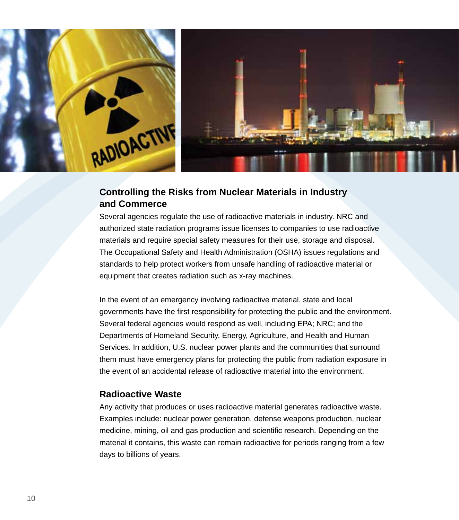

### **Controlling the Risks from Nuclear Materials in Industry and Commerce**

Several agencies regulate the use of radioactive materials in industry. NRC and authorized state radiation programs issue licenses to companies to use radioactive materials and require special safety measures for their use, storage and disposal. The Occupational Safety and Health Administration (OSHA) issues regulations and standards to help protect workers from unsafe handling of radioactive material or equipment that creates radiation such as x-ray machines.

In the event of an emergency involving radioactive material, state and local governments have the first responsibility for protecting the public and the environment. Several federal agencies would respond as well, including EPA; NRC; and the Departments of Homeland Security, Energy, Agriculture, and Health and Human Services. In addition, U.S. nuclear power plants and the communities that surround them must have emergency plans for protecting the public from radiation exposure in the event of an accidental release of radioactive material into the environment.

#### **Radioactive Waste**

Any activity that produces or uses radioactive material generates radioactive waste. Examples include: nuclear power generation, defense weapons production, nuclear medicine, mining, oil and gas production and scientific research. Depending on the material it contains, this waste can remain radioactive for periods ranging from a few days to billions of years.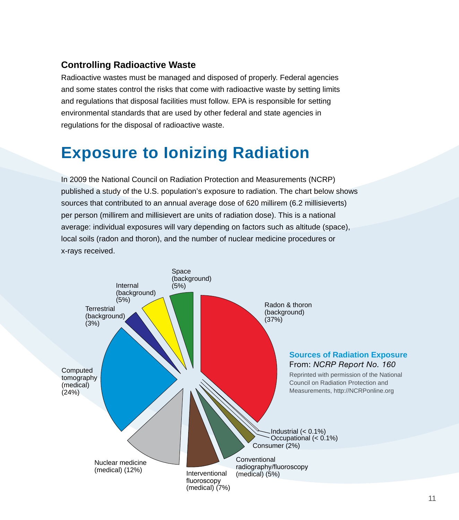# **Controlling Radioactive Waste**

Radioactive wastes must be managed and disposed of properly. Federal agencies and some states control the risks that come with radioactive waste by setting limits and regulations that disposal facilities must follow. EPA is responsible for setting environmental standards that are used by other federal and state agencies in regulations for the disposal of radioactive waste.

# **Exposure to Ionizing Radiation**

In 2009 the National Council on Radiation Protection and Measurements (NCRP) published a study of the U.S. population's exposure to radiation. The chart below shows sources that contributed to an annual average dose of 620 millirem (6.2 millisieverts) per person (millirem and millisievert are units of radiation dose). This is a national average: individual exposures will vary depending on factors such as altitude (space), local soils (radon and thoron), and the number of nuclear medicine procedures or x-rays received.

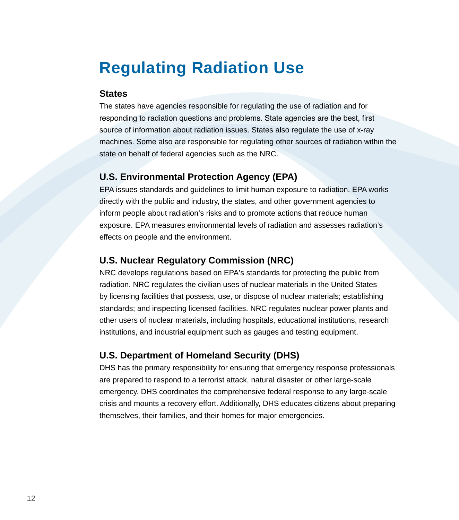# **Regulating Radiation Use**

#### **States**

The states have agencies responsible for regulating the use of radiation and for responding to radiation questions and problems. State agencies are the best, first source of information about radiation issues. States also regulate the use of x-ray machines. Some also are responsible for regulating other sources of radiation within the state on behalf of federal agencies such as the NRC.

### **U.S. Environmental Protection Agency (EPA)**

EPA issues standards and guidelines to limit human exposure to radiation. EPA works directly with the public and industry, the states, and other government agencies to inform people about radiation's risks and to promote actions that reduce human exposure. EPA measures environmental levels of radiation and assesses radiation's effects on people and the environment.

#### **U.S. Nuclear Regulatory Commission (NRC)**

NRC develops regulations based on EPA's standards for protecting the public from radiation. NRC regulates the civilian uses of nuclear materials in the United States by licensing facilities that possess, use, or dispose of nuclear materials; establishing standards; and inspecting licensed facilities. NRC regulates nuclear power plants and other users of nuclear materials, including hospitals, educational institutions, research institutions, and industrial equipment such as gauges and testing equipment.

### **U.S. Department of Homeland Security (DHS)**

DHS has the primary responsibility for ensuring that emergency response professionals are prepared to respond to a terrorist attack, natural disaster or other large-scale emergency. DHS coordinates the comprehensive federal response to any large-scale crisis and mounts a recovery effort. Additionally, DHS educates citizens about preparing themselves, their families, and their homes for major emergencies.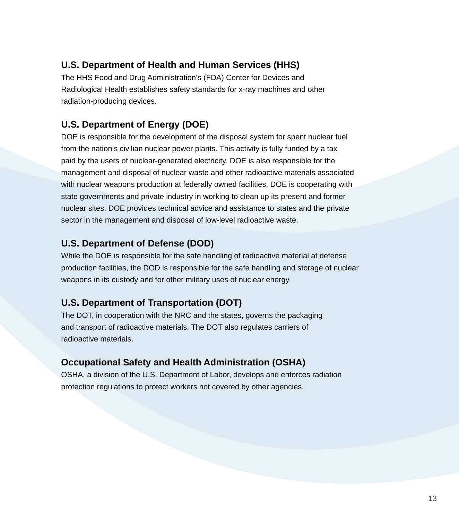### **U.S. Department of Health and Human Services (HHS)**

The HHS Food and Drug Administration's (FDA) Center for Devices and Radiological Health establishes safety standards for x-ray machines and other radiation-producing devices.

# **U.S. Department of Energy (DOE)**

DOE is responsible for the development of the disposal system for spent nuclear fuel from the nation's civilian nuclear power plants. This activity is fully funded by a tax paid by the users of nuclear-generated electricity. DOE is also responsible for the management and disposal of nuclear waste and other radioactive materials associated with nuclear weapons production at federally owned facilities. DOE is cooperating with state governments and private industry in working to clean up its present and former nuclear sites. DOE provides technical advice and assistance to states and the private sector in the management and disposal of low-level radioactive waste.

# **U.S. Department of Defense (DOD)**

While the DOE is responsible for the safe handling of radioactive material at defense production facilities, the DOD is responsible for the safe handling and storage of nuclear weapons in its custody and for other military uses of nuclear energy.

# **U.S. Department of Transportation (DOT)**

The DOT, in cooperation with the NRC and the states, governs the packaging and transport of radioactive materials. The DOT also regulates carriers of radioactive materials.

# **Occupational Safety and Health Administration (OSHA)**

OSHA, a division of the U.S. Department of Labor, develops and enforces radiation protection regulations to protect workers not covered by other agencies.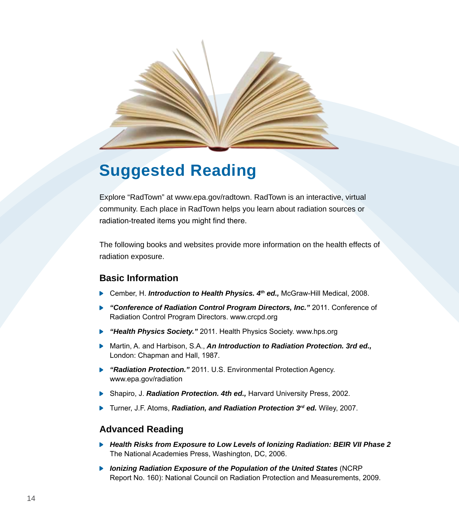

# **Suggested Reading**

Explore "RadTown" at www.epa.gov/radtown. RadTown is an interactive, virtual community. Each place in RadTown helps you learn about radiation sources or radiation-treated items you might find there.

The following books and websites provide more information on the health effects of radiation exposure.

#### **Basic Information**

- ▶ Cember, H. *Introduction to Health Physics. 4<sup>th</sup> ed.*, McGraw-Hill Medical, 2008.
- **"Conference of Radiation Control Program Directors, Inc." 2011. Conference of** Radiation Control Program Directors. www.crcpd.org
- *"Health Physics Society."* 2011. Health Physics Society. www.hps.org  $\blacktriangleright$
- ▶ Martin, A. and Harbison, S.A., An Introduction to Radiation Protection. 3rd ed., London: Chapman and Hall, 1987.
- *"Radiation Protection."* 2011. U.S. Environmental Protection Agency. www.epa.gov/radiation
- Shapiro, J. *Radiation Protection. 4th ed.,* Harvard University Press, 2002.
- ▶ Turner, J.F. Atoms, *Radiation, and Radiation Protection 3<sup>rd</sup> ed.* Wiley, 2007.

### **Advanced Reading**

- *Health Risks from Exposure to Low Levels of Ionizing Radiation: BEIR VII Phase 2* The National Academies Press, Washington, DC, 2006.
- *Ionizing Radiation Exposure of the Population of the United States* (NCRP Report No. 160): National Council on Radiation Protection and Measurements, 2009.